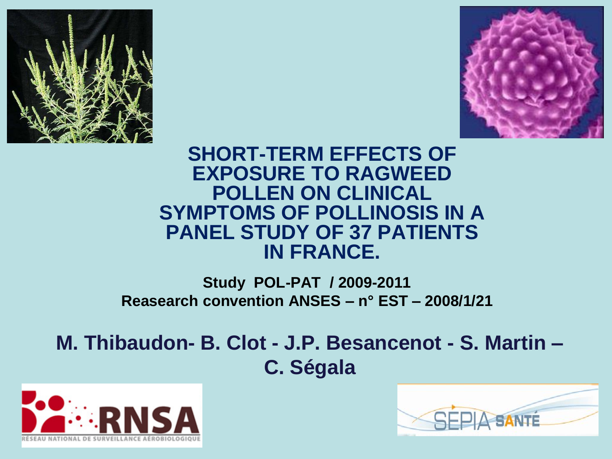



#### **SHORT-TERM EFFECTS OF EXPOSURE TO RAGWEED POLLEN ON CLINICAL SYMPTOMS OF POLLINOSIS IN A PANEL STUDY OF 37 PATIENTS IN FRANCE.**

#### **Study POL-PAT / 2009-2011 Reasearch convention ANSES – n° EST – 2008/1/21**

### **M. Thibaudon- B. Clot - J.P. Besancenot - S. Martin – C. Ségala**



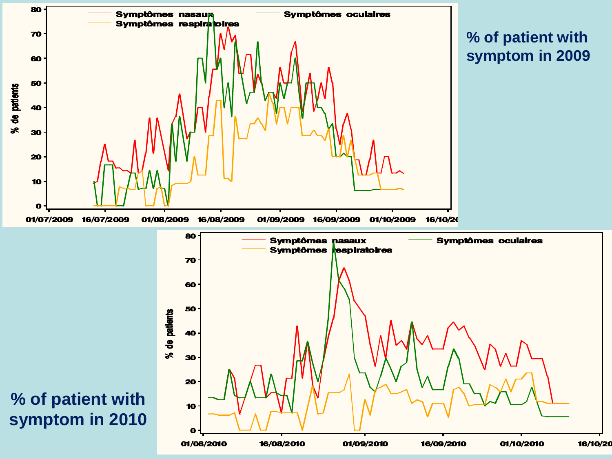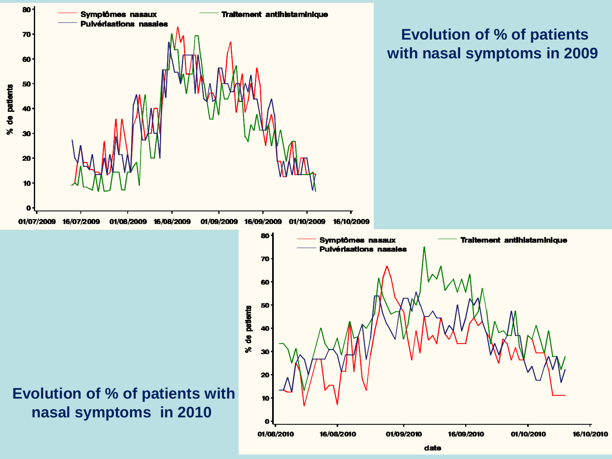

date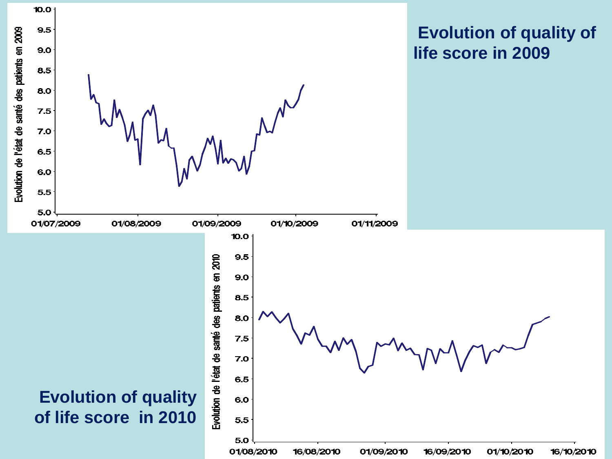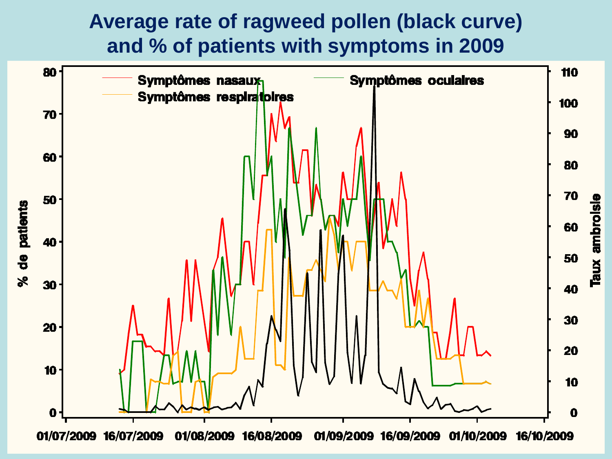### **Average rate of ragweed pollen (black curve) and % of patients with symptoms in 2009**

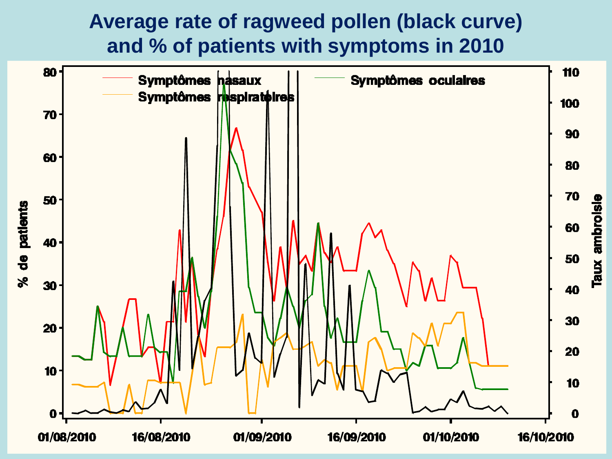### **Average rate of ragweed pollen (black curve) and % of patients with symptoms in 2010**

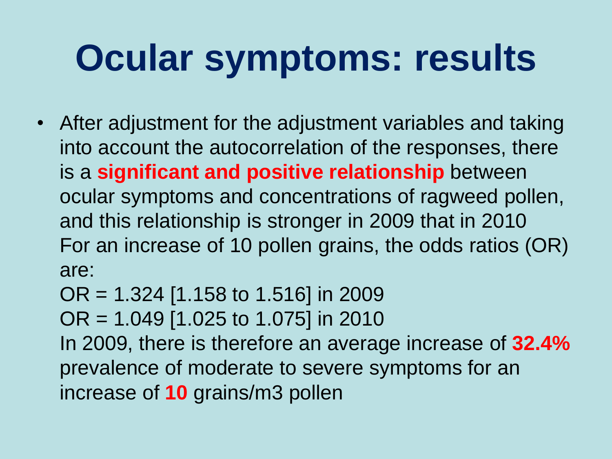## **Ocular symptoms: results**

- After adjustment for the adjustment variables and taking into account the autocorrelation of the responses, there is a **significant and positive relationship** between ocular symptoms and concentrations of ragweed pollen, and this relationship is stronger in 2009 that in 2010 For an increase of 10 pollen grains, the odds ratios (OR) are:
	- OR = 1.324 [1.158 to 1.516] in 2009
	- OR = 1.049 [1.025 to 1.075] in 2010

In 2009, there is therefore an average increase of **32.4%** prevalence of moderate to severe symptoms for an increase of **10** grains/m3 pollen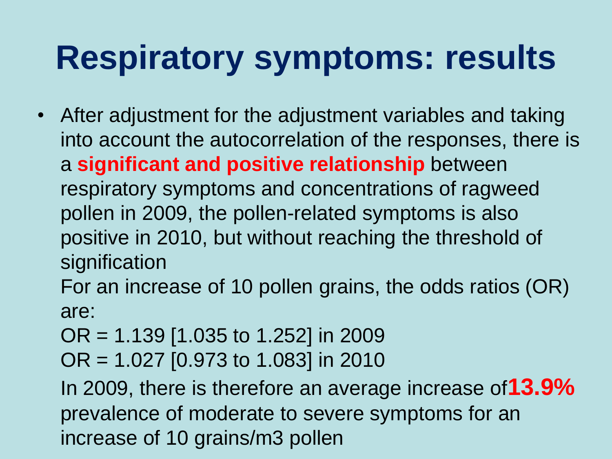### **Respiratory symptoms: results**

- After adjustment for the adjustment variables and taking into account the autocorrelation of the responses, there is a **significant and positive relationship** between respiratory symptoms and concentrations of ragweed pollen in 2009, the pollen-related symptoms is also positive in 2010, but without reaching the threshold of signification
	- For an increase of 10 pollen grains, the odds ratios (OR) are:
	- OR = 1.139 [1.035 to 1.252] in 2009
	- OR = 1.027 [0.973 to 1.083] in 2010

In 2009, there is therefore an average increase of**13.9%** prevalence of moderate to severe symptoms for an increase of 10 grains/m3 pollen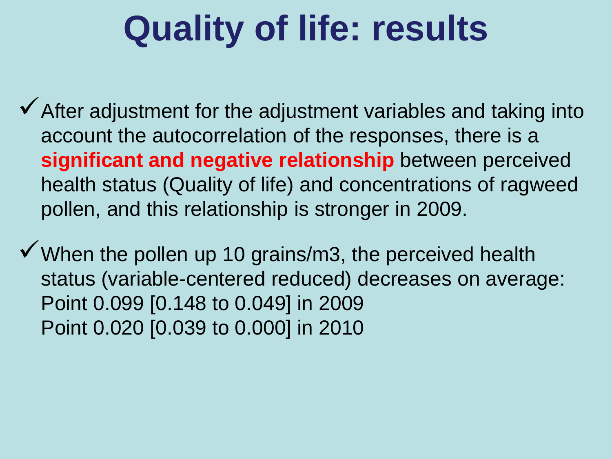### **Quality of life: results**

- $\checkmark$  After adjustment for the adjustment variables and taking into account the autocorrelation of the responses, there is a **significant and negative relationship** between perceived health status (Quality of life) and concentrations of ragweed pollen, and this relationship is stronger in 2009.
- $\checkmark$  When the pollen up 10 grains/m3, the perceived health status (variable-centered reduced) decreases on average: Point 0.099 [0.148 to 0.049] in 2009 Point 0.020 [0.039 to 0.000] in 2010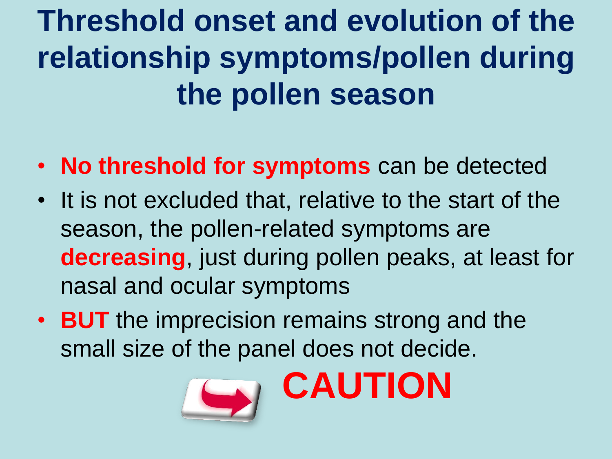**Threshold onset and evolution of the relationship symptoms/pollen during the pollen season**

- **No threshold for symptoms** can be detected
- It is not excluded that, relative to the start of the season, the pollen-related symptoms are **decreasing**, just during pollen peaks, at least for nasal and ocular symptoms
- **BUT** the imprecision remains strong and the small size of the panel does not decide.